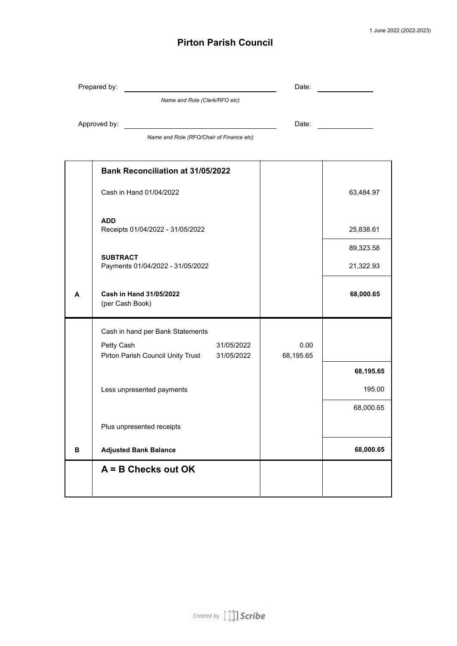## **Pirton Parish Council**

|   | Prepared by:                                        | Date:     |           |  |  |  |  |
|---|-----------------------------------------------------|-----------|-----------|--|--|--|--|
|   | Name and Role (Clerk/RFO etc)                       |           |           |  |  |  |  |
|   | Approved by:                                        | Date:     |           |  |  |  |  |
|   | Name and Role (RFO/Chair of Finance etc)            |           |           |  |  |  |  |
|   |                                                     |           |           |  |  |  |  |
|   | <b>Bank Reconciliation at 31/05/2022</b>            |           |           |  |  |  |  |
|   | Cash in Hand 01/04/2022                             | 63,484.97 |           |  |  |  |  |
|   | <b>ADD</b><br>Receipts 01/04/2022 - 31/05/2022      |           | 25,838.61 |  |  |  |  |
|   |                                                     |           | 89,323.58 |  |  |  |  |
|   | <b>SUBTRACT</b><br>Payments 01/04/2022 - 31/05/2022 |           | 21,322.93 |  |  |  |  |
| A | Cash in Hand 31/05/2022<br>(per Cash Book)          |           | 68,000.65 |  |  |  |  |
|   | Cash in hand per Bank Statements                    |           |           |  |  |  |  |
|   | Petty Cash<br>31/05/2022                            | 0.00      |           |  |  |  |  |
|   | Pirton Parish Council Unity Trust 31/05/2022        | 68,195.65 | 68,195.65 |  |  |  |  |
|   |                                                     |           |           |  |  |  |  |
|   | Less unpresented payments                           |           | 195.00    |  |  |  |  |
|   |                                                     |           | 68,000.65 |  |  |  |  |
|   | Plus unpresented receipts                           |           |           |  |  |  |  |
| в | <b>Adjusted Bank Balance</b>                        |           | 68,000.65 |  |  |  |  |
|   | $A = B$ Checks out OK                               |           |           |  |  |  |  |
|   |                                                     |           |           |  |  |  |  |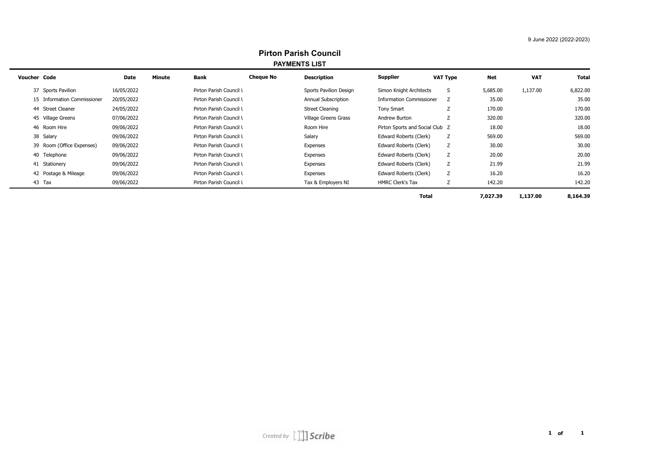## 9 June 2022 (2022-2023)

| Pirton Parish Council<br><b>PAYMENTS LIST</b> |            |        |                         |                  |                        |                                 |                 |            |            |          |
|-----------------------------------------------|------------|--------|-------------------------|------------------|------------------------|---------------------------------|-----------------|------------|------------|----------|
| Voucher Code                                  | Date       | Minute | Bank                    | <b>Cheque No</b> | <b>Description</b>     | Supplier                        | <b>VAT Type</b> | <b>Net</b> | <b>VAT</b> | Total    |
| 37 Sports Pavilion                            | 16/05/2022 |        | Pirton Parish Council L |                  | Sports Pavilion Design | Simon Knight Architects         | S               | 5,685.00   | 1,137.00   | 6,822.00 |
| 15 Information Commissioner                   | 20/05/2022 |        | Pirton Parish Council L |                  | Annual Subscription    | <b>Information Commissioner</b> | z               | 35.00      |            | 35.00    |
| 44 Street Cleaner                             | 24/05/2022 |        | Pirton Parish Council L |                  | <b>Street Cleaning</b> | Tony Smart                      | Z               | 170.00     |            | 170.00   |
| 45 Village Greens                             | 07/06/2022 |        | Pirton Parish Council L |                  | Village Greens Grass   | Andrew Burton                   |                 | 320.00     |            | 320.00   |
| 46 Room Hire                                  | 09/06/2022 |        | Pirton Parish Council L |                  | Room Hire              | Pirton Sports and Social Club Z |                 | 18.00      |            | 18.00    |
| 38 Salary                                     | 09/06/2022 |        | Pirton Parish Council L |                  | Salary                 | Edward Roberts (Clerk)          | Ζ               | 569.00     |            | 569.00   |
| 39 Room (Office Expenses)                     | 09/06/2022 |        | Pirton Parish Council L |                  | Expenses               | Edward Roberts (Clerk)          | z               | 30.00      |            | 30.00    |
| 40 Telephone                                  | 09/06/2022 |        | Pirton Parish Council L |                  | Expenses               | Edward Roberts (Clerk)          | Ζ               | 20.00      |            | 20.00    |
| 41 Stationery                                 | 09/06/2022 |        | Pirton Parish Council L |                  | Expenses               | Edward Roberts (Clerk)          | Ζ               | 21.99      |            | 21.99    |
| 42 Postage & Mileage                          | 09/06/2022 |        | Pirton Parish Council L |                  | Expenses               | Edward Roberts (Clerk)          | Ζ               | 16.20      |            | 16.20    |
| 43 Tax                                        | 09/06/2022 |        | Pirton Parish Council L |                  | Tax & Employers NI     | <b>HMRC Clerk's Tax</b>         | Ζ               | 142.20     |            | 142.20   |
|                                               |            |        |                         |                  |                        | <b>Total</b>                    |                 | 7,027.39   | 1,137.00   | 8,164.39 |

## **Pirton Parish Council**